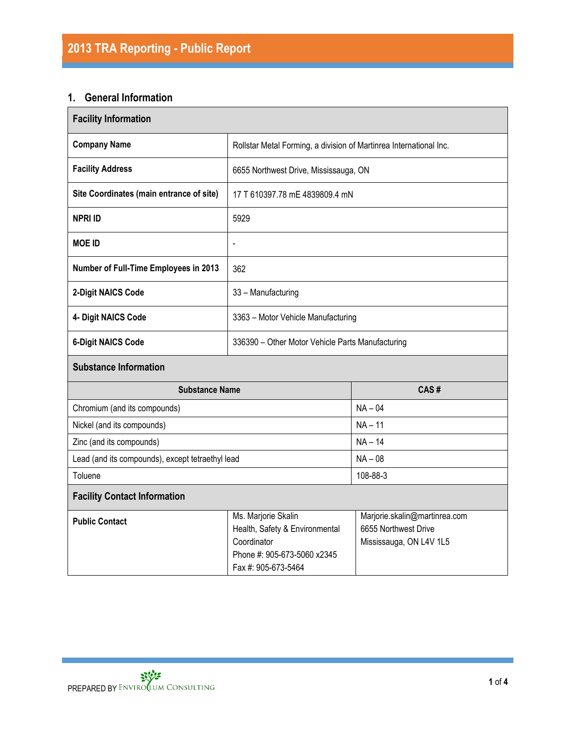### **1. General Information**

| <b>Facility Information</b>                      |                                                                                                                            |                                                                                  |  |  |  |  |
|--------------------------------------------------|----------------------------------------------------------------------------------------------------------------------------|----------------------------------------------------------------------------------|--|--|--|--|
| <b>Company Name</b>                              |                                                                                                                            | Rollstar Metal Forming, a division of Martinrea International Inc.               |  |  |  |  |
| <b>Facility Address</b>                          | 6655 Northwest Drive, Mississauga, ON                                                                                      |                                                                                  |  |  |  |  |
| Site Coordinates (main entrance of site)         | 17 T 610397.78 mE 4839809.4 mN                                                                                             |                                                                                  |  |  |  |  |
| <b>NPRI ID</b>                                   | 5929                                                                                                                       |                                                                                  |  |  |  |  |
| <b>MOE ID</b>                                    | $\overline{a}$                                                                                                             |                                                                                  |  |  |  |  |
| Number of Full-Time Employees in 2013            | 362                                                                                                                        |                                                                                  |  |  |  |  |
| 2-Digit NAICS Code                               | 33 - Manufacturing                                                                                                         |                                                                                  |  |  |  |  |
| 4- Digit NAICS Code                              | 3363 - Motor Vehicle Manufacturing                                                                                         |                                                                                  |  |  |  |  |
| <b>6-Digit NAICS Code</b>                        | 336390 - Other Motor Vehicle Parts Manufacturing                                                                           |                                                                                  |  |  |  |  |
| <b>Substance Information</b>                     |                                                                                                                            |                                                                                  |  |  |  |  |
| <b>Substance Name</b>                            |                                                                                                                            | CAS#                                                                             |  |  |  |  |
| Chromium (and its compounds)                     |                                                                                                                            | $NA - 04$                                                                        |  |  |  |  |
| Nickel (and its compounds)                       |                                                                                                                            | $NA - 11$                                                                        |  |  |  |  |
| Zinc (and its compounds)                         |                                                                                                                            | $NA - 14$                                                                        |  |  |  |  |
| Lead (and its compounds), except tetraethyl lead |                                                                                                                            | $NA - 08$                                                                        |  |  |  |  |
| Toluene<br>108-88-3                              |                                                                                                                            |                                                                                  |  |  |  |  |
| <b>Facility Contact Information</b>              |                                                                                                                            |                                                                                  |  |  |  |  |
| <b>Public Contact</b>                            | Ms. Marjorie Skalin<br>Health, Safety & Environmental<br>Coordinator<br>Phone #: 905-673-5060 x2345<br>Fax #: 905-673-5464 | Marjorie.skalin@martinrea.com<br>6655 Northwest Drive<br>Mississauga, ON L4V 1L5 |  |  |  |  |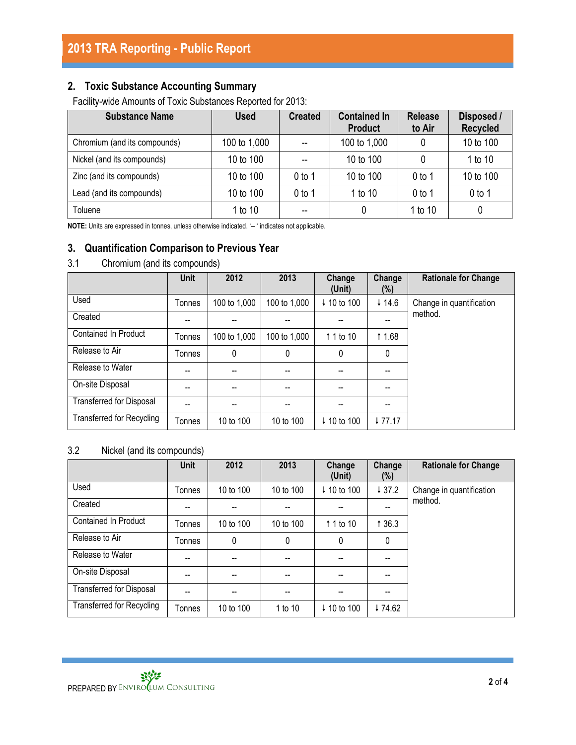## **2. Toxic Substance Accounting Summary**

Facility-wide Amounts of Toxic Substances Reported for 2013:

| <b>Substance Name</b>        | <b>Used</b>  | <b>Created</b>    | <b>Contained In</b><br><b>Product</b> | <b>Release</b><br>to Air | Disposed /<br><b>Recycled</b> |
|------------------------------|--------------|-------------------|---------------------------------------|--------------------------|-------------------------------|
| Chromium (and its compounds) | 100 to 1,000 |                   | 100 to 1,000                          | 0                        | 10 to 100                     |
| Nickel (and its compounds)   | 10 to 100    |                   | 10 to 100                             | 0                        | 1 to 10                       |
| Zinc (and its compounds)     | 10 to 100    | 0 <sub>to 1</sub> | 10 to 100                             | $0$ to 1                 | 10 to 100                     |
| Lead (and its compounds)     | 10 to 100    | 0 to 1            | 1 to 10                               | $0$ to 1                 | $0$ to 1                      |
| Toluene                      | 1 to 10      | --                |                                       | 1 to 10                  |                               |

**NOTE:** Units are expressed in tonnes, unless otherwise indicated. '-- ' indicates not applicable.

### **3. Quantification Comparison to Previous Year**

| 3.1 |  |  | Chromium (and its compounds) |
|-----|--|--|------------------------------|
|-----|--|--|------------------------------|

|                                  | <b>Unit</b> | 2012         | 2013         | Change<br>(Unit)       | Change<br>(%) | <b>Rationale for Change</b> |
|----------------------------------|-------------|--------------|--------------|------------------------|---------------|-----------------------------|
| Used                             | Tonnes      | 100 to 1,000 | 100 to 1,000 | ↓ 10 to 100            | 414.6         | Change in quantification    |
| Created                          |             |              |              |                        |               | method.                     |
| Contained In Product             | Tonnes      | 100 to 1,000 | 100 to 1,000 | 1 1 to 10              | <b>11.68</b>  |                             |
| Release to Air                   | Tonnes      | 0            | 0            | $\mathbf{0}$           | 0             |                             |
| Release to Water                 |             |              |              |                        |               |                             |
| On-site Disposal                 | --          |              |              | --                     |               |                             |
| <b>Transferred for Disposal</b>  | --          |              |              | --                     |               |                             |
| <b>Transferred for Recycling</b> | Tonnes      | 10 to 100    | 10 to 100    | $\downarrow$ 10 to 100 | ↓77.17        |                             |

#### 3.2 Nickel (and its compounds)

|                                  | <b>Unit</b> | 2012      | 2013      | Change<br>(Unit) | Change<br>(%) | <b>Rationale for Change</b> |
|----------------------------------|-------------|-----------|-----------|------------------|---------------|-----------------------------|
| Used                             | Tonnes      | 10 to 100 | 10 to 100 | ↓ 10 to 100      | 437.2         | Change in quantification    |
| Created                          |             |           |           |                  | --            | method.                     |
| <b>Contained In Product</b>      | Tonnes      | 10 to 100 | 10 to 100 | 1 1 to 10        | 1 36.3        |                             |
| Release to Air                   | Tonnes      | 0         | 0         | 0                | 0             |                             |
| Release to Water                 |             | --        | --        |                  |               |                             |
| On-site Disposal                 |             | --        | --        |                  |               |                             |
| <b>Transferred for Disposal</b>  |             | --        | --        |                  | --            |                             |
| <b>Transferred for Recycling</b> | Tonnes      | 10 to 100 | 1 to 10   | ↓ 10 to 100      | ↓74.62        |                             |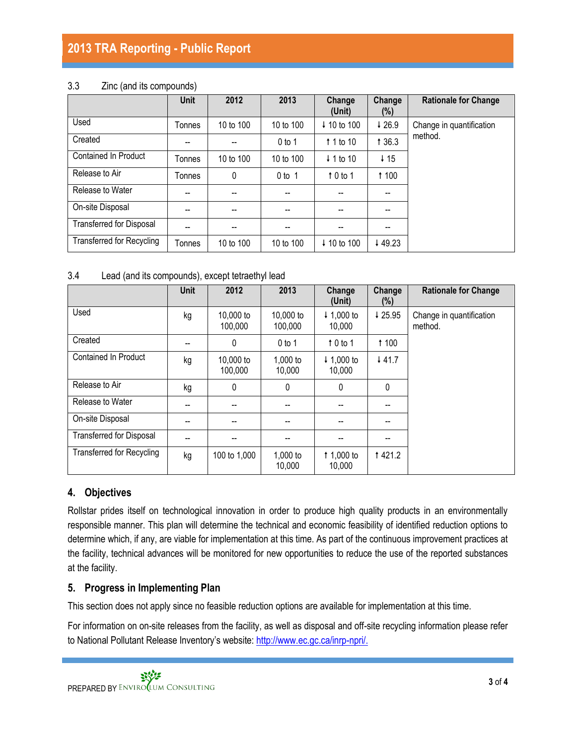# **2013 TRA Reporting - Public Report**

#### 3.3 Zinc (and its compounds)

|                                  | <b>Unit</b> | 2012      | 2013      | Change<br>(Unit)       | Change<br>(%)   | <b>Rationale for Change</b> |
|----------------------------------|-------------|-----------|-----------|------------------------|-----------------|-----------------------------|
| Used                             | Tonnes      | 10 to 100 | 10 to 100 | ↓ 10 to 100            | 426.9           | Change in quantification    |
| Created                          | --          |           | $0$ to 1  | $\uparrow$ 1 to 10     | 1 3 6.3         | method.                     |
| <b>Contained In Product</b>      | Tonnes      | 10 to 100 | 10 to 100 | $\downarrow$ 1 to 10   | $\downarrow$ 15 |                             |
| Release to Air                   | Tonnes      | 0         | $0$ to 1  | $\uparrow$ 0 to 1      | <b>1100</b>     |                             |
| Release to Water                 | --          | --        |           |                        |                 |                             |
| On-site Disposal                 | --          | --        | --        | --                     | --              |                             |
| <b>Transferred for Disposal</b>  | --          | --        | --        | --                     | --              |                             |
| <b>Transferred for Recycling</b> | Tonnes      | 10 to 100 | 10 to 100 | $\downarrow$ 10 to 100 | ↓49.23          |                             |

#### 3.4 Lead (and its compounds), except tetraethyl lead

|                                  | Unit | 2012                 | 2013                 | Change<br>(Unit)                | Change<br>(%) | <b>Rationale for Change</b>         |
|----------------------------------|------|----------------------|----------------------|---------------------------------|---------------|-------------------------------------|
| Used                             | kg   | 10,000 to<br>100,000 | 10,000 to<br>100,000 | $+ 1,000$ to<br>10,000          | ↓25.95        | Change in quantification<br>method. |
| Created                          | --   | 0                    | $0$ to 1             | $10$ to 1                       | <b>1100</b>   |                                     |
| <b>Contained In Product</b>      | kg   | 10,000 to<br>100,000 | 1,000 to<br>10,000   | $\downarrow$ 1,000 to<br>10,000 | 441.7         |                                     |
| Release to Air                   | kg   | 0                    | 0                    | $\mathbf{0}$                    | 0             |                                     |
| Release to Water                 | --   |                      | --                   |                                 |               |                                     |
| On-site Disposal                 |      |                      |                      |                                 |               |                                     |
| <b>Transferred for Disposal</b>  | --   |                      |                      |                                 |               |                                     |
| <b>Transferred for Recycling</b> | kg   | 100 to 1,000         | 1,000 to<br>10,000   | 1,000 to<br>10,000              | <b>1421.2</b> |                                     |

### **4. Objectives**

Rollstar prides itself on technological innovation in order to produce high quality products in an environmentally responsible manner. This plan will determine the technical and economic feasibility of identified reduction options to determine which, if any, are viable for implementation at this time. As part of the continuous improvement practices at the facility, technical advances will be monitored for new opportunities to reduce the use of the reported substances at the facility.

### **5. Progress in Implementing Plan**

This section does not apply since no feasible reduction options are available for implementation at this time.

For information on on-site releases from the facility, as well as disposal and off-site recycling information please refer to National Pollutant Release Inventory's website: [http://www.ec.gc.ca/inrp-npri/.](http://www.ec.gc.ca/inrp-npri/)